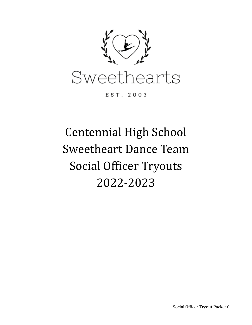

EST. 2003

# Centennial High School Sweetheart Dance Team Social Officer Tryouts 2022-2023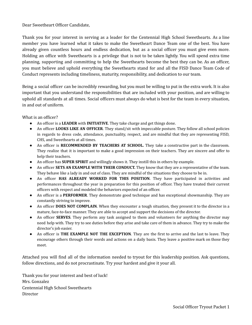#### Dear Sweetheart Officer Candidate,

Thank you for your interest in serving as a leader for the Centennial High School Sweethearts. As a line member you have learned what it takes to make the Sweetheart Dance Team one of the best. You have already given countless hours and endless dedication, but as a social officer you must give even more. Holding an office with Sweethearts is a privilege that is not to be taken lightly. You will spend extra time planning, supporting and committing to help the Sweethearts become the best they can be. As an officer, you must believe and uphold everything the Sweethearts stand for and all the FISD Dance Team Code of Conduct represents including timeliness, maturity, responsibility, and dedication to our team.

Being a social officer can be incredibly rewarding, but you must be willing to put in the extra work. It is also important that you understand the responsibilities that are included with your position, and are willing to uphold all standards at all times. Social officers must always do what is best for the team in every situation, in and out of uniform.

What is an officer?

- An officer is a **LEADER** with **INITIATIVE**. They take charge and get things done.
- An officer **LOOKS LIKE AN OFFICER**. They stand/sit with impeccable posture. They follow all school policies in regards to dress code, attendance, punctuality, respect, and are mindful that they are representing FISD, CHS, and Sweethearts at all times.
- An officer is **RECOMMENDED BY TEACHERS AT SCHOOL.** They take a constructive part in the classroom. They realize that it is important to make a good impression on their teachers. They are sincere and offer to help their teachers.
- An officer has **SUPER SPIRIT** and willingly shows it. They instill this in others by example.
- An officer **SETS AN EXAMPLE WITH THEIR CONDUCT.** They know that they are a representative of the team. They behave like a lady in and out of class. They are mindful of the situations they choose to be in.
- An officer **HAS ALREADY WORKED FOR THIS POSITION**. They have participated in activities and performances throughout the year in preparation for this position of officer. They have treated their current officers with respect and modeled the behaviors expected of an officer.
- An officer is a **PERFORMER**. They demonstrate good technique and has exceptional showmanship. They are constantly striving to improve.
- An officer **DOES NOT COMPLAIN**. When they encounter a tough situation, they present it to the director in a mature, face-to-face manner. They are able to accept and support the decisions of the director.
- An officer **SERVES**. They perform any task assigned to them and volunteers for anything the director may need help with. They try to see duties before they arise and take care of them in advance. They try to make the director's job easier.
- An officer is **THE EXAMPLE NOT THE EXCEPTION**. They are the first to arrive and the last to leave. They encourage others through their words and actions on a daily basis. They leave a positive mark on those they meet.

Attached you will find all of the information needed to tryout for this leadership position. Ask questions, follow directions, and do not procrastinate. Try your hardest and give it your all.

Thank you for your interest and best of luck! Mrs. Gonzalez Centennial High School Sweethearts Director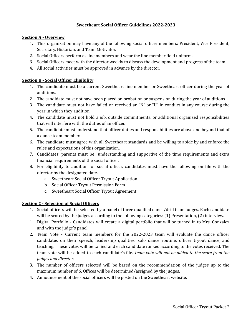#### **Sweetheart Social Officer Guidelines 2022-2023**

#### **Section A - Overview**

- 1. This organization may have any of the following social officer members: President, Vice President, Secretary, Historian, and Team Motivator.
- 2. Social Officers perform as line members and wear the line member field uniform.
- 3. Social Officers meet with the director weekly to discuss the development and progress of the team.
- 4. All social activities must be approved in advance by the director.

#### **Section B - Social Officer Eligibility**

- 1. The candidate must be a current Sweetheart line member or Sweetheart officer during the year of auditions.
- 2. The candidate must not have been placed on probation or suspension during the year of auditions.
- 3. The candidate must not have failed or received an "N" or "U" in conduct in any course during the year in which they audition.
- 4. The candidate must not hold a job, outside commitments, or additional organized responsibilities that will interfere with the duties of an officer.
- 5. The candidate must understand that officer duties and responsibilities are above and beyond that of a dance team member.
- 6. The candidate must agree with all Sweetheart standards and be willing to abide by and enforce the rules and expectations of this organization.
- 7. Candidates' parents must be understanding and supportive of the time requirements and extra financial requirements of the social officer.
- 8. For eligibility to audition for social officer, candidates must have the following on file with the director by the designated date.
	- a. Sweetheart Social Officer Tryout Application
	- b. Social Officer Tryout Permission Form
	- c. Sweetheart Social Officer Tryout Agreement

#### **Section C - Selection of Social Officers**

- 1. Social officers will be selected by a panel of three qualified dance/drill team judges. Each candidate will be scored by the judges according to the following categories: (1) Presentation, (2) interview.
- 1. Digital Portfolio Candidates will create a digital portfolio that will be turned in to Mrs. Gonzalez and with the judge's panel.
- 2. Team Vote Current team members for the 2022-2023 team will evaluate the dance officer candidates on their speech, leadership qualities, solo dance routine, officer tryout dance, and teaching. These votes will be tallied and each candidate ranked according to the votes received. The team vote will be added to each candidate's file. *Team vote will not be added to the score from the judges and director.*
- 3. The number of officers selected will be based on the recommendation of the judges up to the maximum number of 6. Offices will be determined/assigned by the judges.
- 4. Announcement of the social officers will be posted on the Sweetheart website.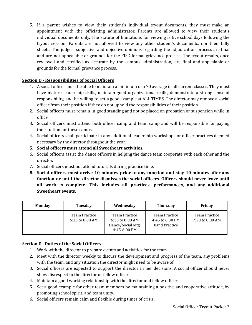5. If a parent wishes to view their student's individual tryout documents, they must make an appointment with the officiating administrator. Parents are allowed to view their student's individual documents only. The statute of limitations for viewing is five school days following the tryout session. Parents are not allowed to view any other student's documents, nor their tally sheets. The judges' subjective and objective opinions regarding the adjudication process are final and are not appealable or grounds for the FISD formal grievance process. The tryout results, once reviewed and certified as accurate by the campus administration, are final and appealable or grounds for the formal grievance process.

#### **Section D - Responsibilities of Social Officers**

- 1. A social officer must be able to maintain a minimum of a 70 average in all current classes. They must have mature leadership skills, maintain good organizational skills, demonstrate a strong sense of responsibility, and be willing to set a good example at ALL TIMES. The director may remove a social officer from their position if they do not uphold the responsibilities of their position.
- 2. Social officers must remain in good standing and not be placed on probation or suspension while in office.
- 3. Social officers must attend both officer camp and team camp and will be responsible for paying their tuition for these camps.
- 4. Social officers shall participate in any additional leadership workshops or officer practices deemed necessary by the director throughout the year.
- **5. Social officers must attend all Sweetheart activities.**
- 6. Social officers assist the dance officers in helping the dance team cooperate with each other and the director.
- 7. Social officers must not attend tutorials during practice time.
- **8. Social officers must arrive 10 minutes prior to any function and stay 10 minutes after any function or until the director dismisses the social officers. Officers should never leave until all work is complete. This includes all practices, performances, and any additional Sweetheart events.**

| <b>Monday</b> | Tuesday                              | Wednesday                                                                   | <b>Thursday</b>                                                 | Friday                           |
|---------------|--------------------------------------|-----------------------------------------------------------------------------|-----------------------------------------------------------------|----------------------------------|
|               | Team Practice<br>$6:30$ to $8:00$ AM | Team Practice<br>$6:30$ to $8:00$ AM<br>Dance/Social Mtg.<br>$4:45-6:00$ PM | <b>Team Practice</b><br>4:45 to 6:30 PM<br><b>Band Practice</b> | Team Practice<br>7:20 to 8:00 AM |

#### **Section E - Duties of the Social Officers**

- 1. Work with the director to prepare events and activities for the team.
- 2. Meet with the director weekly to discuss the development and progress of the team, any problems with the team, and any situation the director might need to be aware of.
- 3. Social officers are expected to support the director in her decisions. A social officer should never show disrespect to the director or fellow officers.
- 4. Maintain a good working relationship with the director and fellow officers.
- 5. Set a good example for other team members by maintaining a positive and cooperative attitude, by promoting school spirit, and team unity.
- 6. Social officers remain calm and flexible during times of crisis.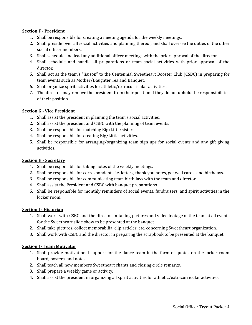#### **Section F - President**

- 1. Shall be responsible for creating a meeting agenda for the weekly meetings.
- 2. Shall preside over all social activities and planning thereof, and shall oversee the duties of the other social officer members.
- 3. Shall schedule and lead any additional officer meetings with the prior approval of the director.
- 4. Shall schedule and handle all preparations or team social activities with prior approval of the director.
- 5. Shall act as the team's "liaison" to the Centennial Sweetheart Booster Club (CSBC) in preparing for team events such as Mother/Daughter Tea and Banquet.
- 6. Shall organize spirit activities for athletic/extracurricular activities.
- 7. The director may remove the president from their position if they do not uphold the responsibilities of their position.

#### **Section G - Vice President**

- 1. Shall assist the president in planning the team's social activities.
- 2. Shall assist the president and CSBC with the planning of team events.
- 3. Shall be responsible for matching Big/Little sisters.
- 4. Shall be responsible for creating Big/Little activities.
- 5. Shall be responsible for arranging/organizing team sign ups for social events and any gift giving activities.

#### **Section H - Secretary**

- 1. Shall be responsible for taking notes of the weekly meetings.
- 2. Shall be responsible for correspondents i.e. letters, thank you notes, get well cards, and birthdays.
- 3. Shall be responsible for communicating team birthdays with the team and director.
- 4. Shall assist the President and CSBC with banquet preparations.
- 5. Shall be responsible for monthly reminders of social events, fundraisers, and spirit activities in the locker room.

#### **Section I - Historian**

- 1. Shall work with CSBC and the director in taking pictures and video footage of the team at all events for the Sweetheart slide show to be presented at the banquet.
- 2. Shall take pictures, collect memorabilia, clip articles, etc. concerning Sweetheart organization.
- 3. Shall work with CSBC and the director in preparing the scrapbook to be presented at the banquet.

#### **Section J - Team Motivator**

- 1. Shall provide motivational support for the dance team in the form of quotes on the locker room board, posters, and notes.
- 2. Shall teach all new members Sweetheart chants and closing circle remarks.
- 3. Shall prepare a weekly game or activity.
- 4. Shall assist the president in organizing all spirit activities for athletic/extracurricular activities.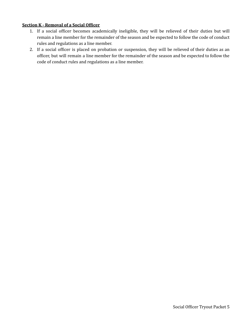#### **Section K - Removal of a Social Officer**

- 1. If a social officer becomes academically ineligible, they will be relieved of their duties but will remain a line member for the remainder of the season and be expected to follow the code of conduct rules and regulations as a line member.
- 2. If a social officer is placed on probation or suspension, they will be relieved of their duties as an officer, but will remain a line member for the remainder of the season and be expected to follow the code of conduct rules and regulations as a line member.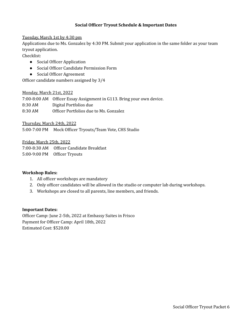#### **Social Officer Tryout Schedule & Important Dates**

#### Tuesday, March 1st by 4:30 pm

Applications due to Ms. Gonzalez by 4:30 PM. Submit your application in the same folder as your team tryout application.

Checklist:

- Social Officer Application
- Social Officer Candidate Permission Form
- Social Officer Agreement

Officer candidate numbers assigned by 3/4

#### Monday, March 21st, 2022

7:00-8:00 AM Officer Essay Assignment in G113. Bring your own device. 8:30 AM Digital Portfolios due 8:30 AM Officer Portfolios due to Ms. Gonzalez

Thursday, March 24th, 2022

5:00-7:00 PM Mock Officer Tryouts/Team Vote, CHS Studio

Friday, March 25th, 2022

7:00-8:30 AM Officer Candidate Breakfast 5:00-9:00 PM Officer Tryouts

#### **Workshop Rules:**

- 1. All officer workshops are mandatory
- 2. Only officer candidates will be allowed in the studio or computer lab during workshops.
- 3. Workshops are closed to all parents, line members, and friends.

#### **Important Dates:**

Officer Camp: June 2-5th, 2022 at Embassy Suites in Frisco Payment for Officer Camp: April 18th, 2022 Estimated Cost: \$520.00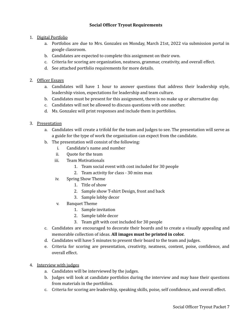#### **Social Officer Tryout Requirements**

- 1. Digital Portfolio
	- a. Portfolios are due to Mrs. Gonzalez on Monday, March 21st, 2022 via submission portal in google classroom.
	- b. Candidates are expected to complete this assignment on their own.
	- c. Criteria for scoring are organization, neatness, grammar, creativity, and overall effect.
	- d. See attached portfolio requirements for more details.
- 2. Officer Essays
	- a. Candidates will have 1 hour to answer questions that address their leadership style, leadership vision, expectations for leadership and team culture.
	- b. Candidates must be present for this assignment, there is no make up or alternative day.
	- c. Candidates will not be allowed to discuss questions with one another.
	- d. Ms. Gonzalez will print responses and include them in portfolios.
- 3. Presentation
	- a. Candidates will create a trifold for the team and judges to see. The presentation will serve as a guide for the type of work the organization can expect from the candidate.
	- b. The presentation will consist of the following:
		- i. Candidate's name and number
		- ii. Quote for the team
		- iii. Team Motivationals
			- 1. Team social event with cost included for 30 people
			- 2. Team activity for class 30 mins max
		- iv. Spring Show Theme
			- 1. Title of show
			- 2. Sample show T-shirt Design, front and back
			- 3. Sample lobby decor
		- v. Banquet Theme
			- 1. Sample invitation
			- 2. Sample table decor
			- 3. Team gift with cost included for 30 people
	- c. Candidates are encouraged to decorate their boards and to create a visually appealing and memorable collection of ideas. **All images must be printed in color.**
	- d. Candidates will have 5 minutes to present their board to the team and judges.
	- e. Criteria for scoring are presentation, creativity, neatness, content, poise, confidence, and overall effect.
- 4. Interview with judges
	- a. Candidates will be interviewed by the judges.
	- b. Judges will look at candidate portfolios during the interview and may base their questions from materials in the portfolios.
	- c. Criteria for scoring are leadership, speaking skills, poise, self confidence, and overall effect.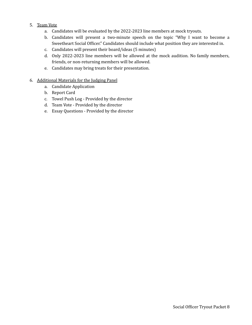- 5. Team Vote
	- a. Candidates will be evaluated by the 2022-2023 line members at mock tryouts.
	- b. Candidates will present a two-minute speech on the topic "Why I want to become a Sweetheart Social Officer." Candidates should include what position they are interested in.
	- c. Candidates will present their board/ideas (5 minutes)
	- d. Only 2022-2023 line members will be allowed at the mock audition. No family members, friends, or non-returning members will be allowed.
	- e. Candidates may bring treats for their presentation.
- 6. Additional Materials for the Judging Panel
	- a. Candidate Application
	- b. Report Card
	- c. Towel Push Log Provided by the director
	- d. Team Vote Provided by the director
	- e. Essay Questions Provided by the director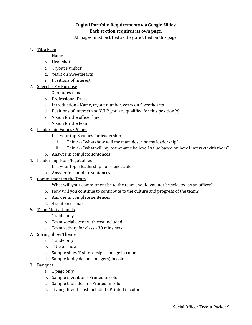#### **Digital Portfolio Requirements via Google Slides Each section requires its own page.**

All pages must be titled as they are titled on this page.

- 1. Title Page
	- a. Name
	- b. Headshot
	- c. Tryout Number
	- d. Years on Sweethearts
	- e. Positions of Interest
- 2. Speech My Purpose
	- a. 3 minutes max
	- b. Professional Dress
	- c. Introduction Name, tryout number, years on Sweethearts
	- d. Positions of interest and WHY you are qualified for this position(s)
	- e. Vision for the officer line
	- f. Vision for the team
- 3. Leadership Values/Pillars
	- a. List your top 3 values for leadership
		- i. Think -- "what/how will my team describe my leadership"
		- ii. Think -- "what will my teammates believe I value based on how I interact with them"
	- b. Answer in complete sentences
- 4. Leadership Non-Negotiables
	- a. List your top 5 leadership non-negotiables
	- b. Answer in complete sentences
- 5. Commitment to the Team
	- a. What will your commitment be to the team should you not be selected as an officer?
	- b. How will you continue to contribute to the culture and progress of the team?
	- c. Answer in complete sentences
	- d. 4 sentences max
- 6. Team Motivationals
	- a. 1 slide only
	- b. Team social event with cost included
	- c. Team activity for class 30 mins max
- 7. Spring Show Theme
	- a. 1 slide only
	- b. Title of show
	- c. Sample show T-shirt design Image in color
	- d. Sample lobby decor Image(s) in color
- 8. Banquet
	- a. 1 page only
	- b. Sample invitation Printed in color
	- c. Sample table decor Printed in color
	- d. Team gift with cost included Printed in color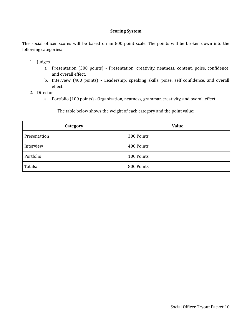#### **Scoring System**

The social officer scores will be based on an 800 point scale. The points will be broken down into the following categories:

- 1. Judges
	- a. Presentation (300 points) Presentation, creativity, neatness, content, poise, confidence, and overall effect.
	- b. Interview (400 points) Leadership, speaking skills, poise, self confidence, and overall effect.
- 2. Director
	- a. Portfolio (100 points) Organization, neatness, grammar, creativity, and overall effect.

The table below shows the weight of each category and the point value:

| Category     | <b>Value</b> |
|--------------|--------------|
| Presentation | 300 Points   |
| Interview    | 400 Points   |
| Portfolio    | 100 Points   |
| Totals:      | 800 Points   |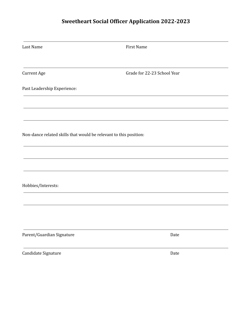# **Sweetheart Social Officer Application 2022-2023**

| Last Name                                                         | <b>First Name</b>           |
|-------------------------------------------------------------------|-----------------------------|
|                                                                   |                             |
| <b>Current Age</b>                                                | Grade for 22-23 School Year |
| Past Leadership Experience:                                       |                             |
|                                                                   |                             |
|                                                                   |                             |
| Non-dance related skills that would be relevant to this position: |                             |
|                                                                   |                             |
|                                                                   |                             |
| Hobbies/Interests:                                                |                             |
|                                                                   |                             |
|                                                                   |                             |
|                                                                   |                             |
| Parent/Guardian Signature                                         | Date                        |
| Candidate Signature                                               | Date                        |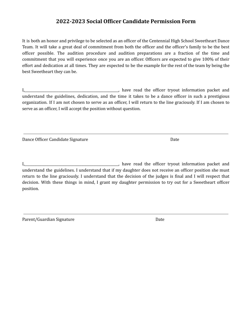### **2022-2023 Social Officer Candidate Permission Form**

It is both an honor and privilege to be selected as an officer of the Centennial High School Sweetheart Dance Team. It will take a great deal of commitment from both the officer and the officer's family to be the best officer possible. The audition procedure and audition preparations are a fraction of the time and commitment that you will experience once you are an officer. Officers are expected to give 100% of their effort and dedication at all times. They are expected to be the example for the rest of the team by being the best Sweetheart they can be.

I,\_\_\_\_\_\_\_\_\_\_\_\_\_\_\_\_\_\_\_\_\_\_\_\_\_\_\_\_\_\_\_\_\_\_\_\_\_\_\_\_\_\_\_\_\_\_\_\_\_\_\_\_\_\_\_\_, have read the officer tryout information packet and understand the guidelines, dedication, and the time it takes to be a dance officer in such a prestigious organization. If I am not chosen to serve as an officer, I will return to the line graciously. If I am chosen to serve as an officer, I will accept the position without question.

Dance Officer Candidate Signature **Date 2018** 2018 12:30 Date

I,\_\_\_\_\_\_\_\_\_\_\_\_\_\_\_\_\_\_\_\_\_\_\_\_\_\_\_\_\_\_\_\_\_\_\_\_\_\_\_\_\_\_\_\_\_\_\_\_\_\_\_\_\_\_\_\_, have read the officer tryout information packet and understand the guidelines. I understand that if my daughter does not receive an officer position she must return to the line graciously. I understand that the decision of the judges is final and I will respect that decision. With these things in mind, I grant my daughter permission to try out for a Sweetheart officer position.

Parent/Guardian Signature Date Date